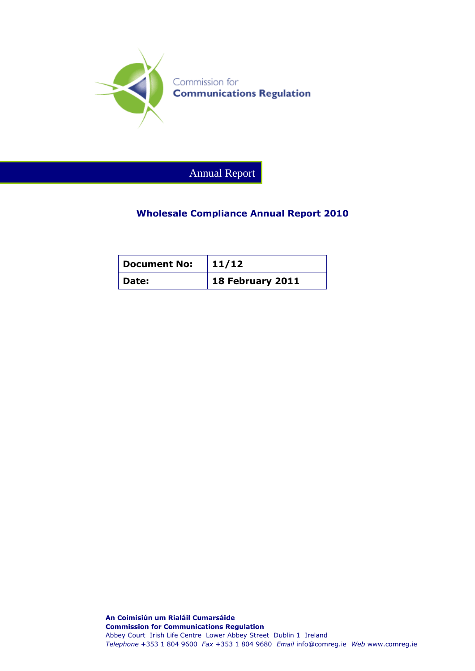

Annual Report

#### **Wholesale Compliance Annual Report 2010**

| <b>Document No:</b> | 11/12                    |
|---------------------|--------------------------|
| <b>Date:</b>        | $\vert$ 18 February 2011 |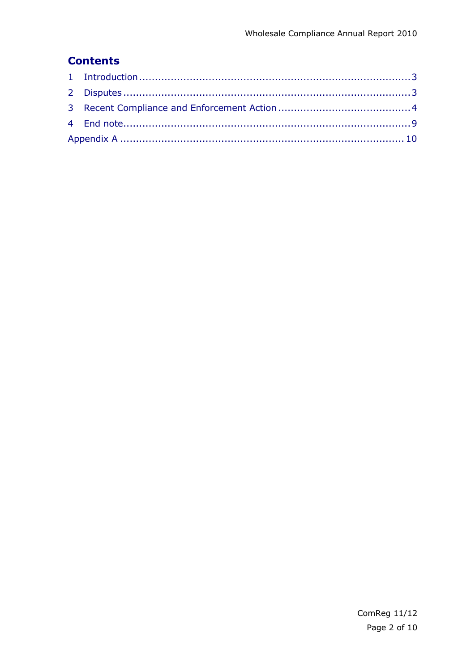# **Contents**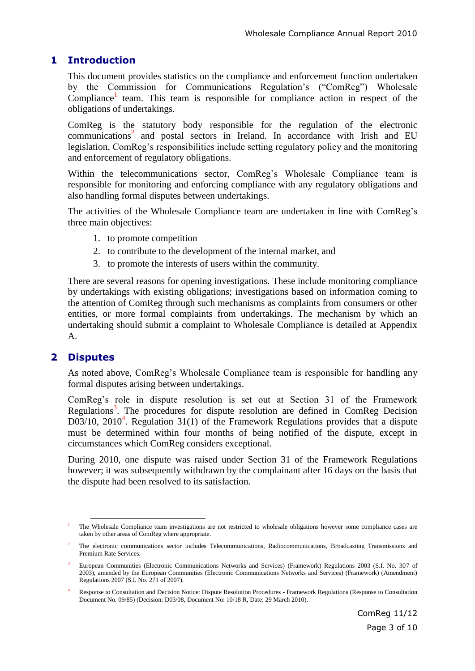#### **1 Introduction**

This document provides statistics on the compliance and enforcement function undertaken by the Commission for Communications Regulation's ("ComReg") Wholesale  $Compliance<sup>1</sup>$  team. This team is responsible for compliance action in respect of the obligations of undertakings.

ComReg is the statutory body responsible for the regulation of the electronic communications<sup>2</sup> and postal sectors in Ireland. In accordance with Irish and EU legislation, ComReg's responsibilities include setting regulatory policy and the monitoring and enforcement of regulatory obligations.

Within the telecommunications sector, ComReg's Wholesale Compliance team is responsible for monitoring and enforcing compliance with any regulatory obligations and also handling formal disputes between undertakings.

The activities of the Wholesale Compliance team are undertaken in line with ComReg's three main objectives:

- 1. to promote competition
- 2. to contribute to the development of the internal market, and
- 3. to promote the interests of users within the community.

There are several reasons for opening investigations. These include monitoring compliance by undertakings with existing obligations; investigations based on information coming to the attention of ComReg through such mechanisms as complaints from consumers or other entities, or more formal complaints from undertakings. The mechanism by which an undertaking should submit a complaint to Wholesale Compliance is detailed at Appendix A.

#### **2 Disputes**

As noted above, ComReg's Wholesale Compliance team is responsible for handling any formal disputes arising between undertakings.

ComReg's role in dispute resolution is set out at Section 31 of the Framework Regulations<sup>3</sup>. The procedures for dispute resolution are defined in ComReg Decision  $D03/10$ , 2010<sup>4</sup>. Regulation 31(1) of the Framework Regulations provides that a dispute must be determined within four months of being notified of the dispute, except in circumstances which ComReg considers exceptional.

During 2010, one dispute was raised under Section 31 of the Framework Regulations however; it was subsequently withdrawn by the complainant after 16 days on the basis that the dispute had been resolved to its satisfaction.

 $\overline{a}$ <sup>1</sup> The Wholesale Compliance team investigations are not restricted to wholesale obligations however some compliance cases are taken by other areas of ComReg where appropriate.

<sup>2</sup> The electronic communications sector includes Telecommunications, Radiocommunications, Broadcasting Transmissions and Premium Rate Services.

<sup>3</sup> European Communities (Electronic Communications Networks and Services) (Framework) Regulations 2003 (S.I. No. 307 of 2003), amended by the European Communities (Electronic Communications Networks and Services) (Framework) (Amendment) Regulations 2007 (S.I. No. 271 of 2007).

<sup>4</sup> Response to Consultation and Decision Notice: Dispute Resolution Procedures - Framework Regulations (Response to Consultation Document No. 09/85) (Decision: D03/08, Document No: 10/18 R, Date: 29 March 2010).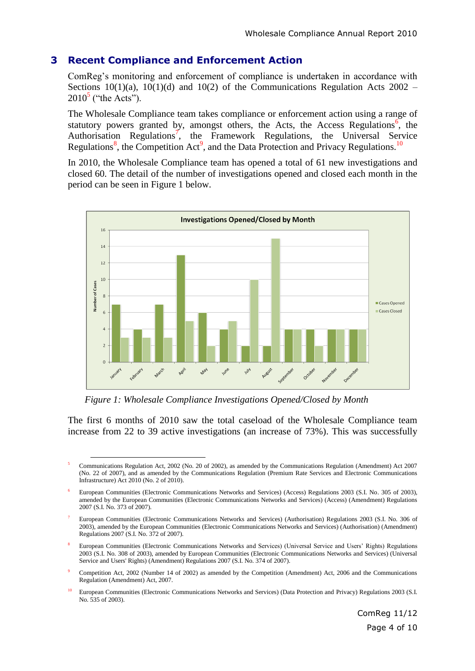#### **3 Recent Compliance and Enforcement Action**

ComReg's monitoring and enforcement of compliance is undertaken in accordance with Sections  $10(1)(a)$ ,  $10(1)(d)$  and  $10(2)$  of the Communications Regulation Acts  $2002 2010^5$  ("the Acts").

The Wholesale Compliance team takes compliance or enforcement action using a range of statutory powers granted by, amongst others, the Acts, the Access Regulations<sup>6</sup>, the Authorisation Regulations<sup>7</sup>, the Framework Regulations, the Universal Service Regulations<sup>8</sup>, the Competition Act<sup>9</sup>, and the Data Protection and Privacy Regulations.<sup>10</sup>

In 2010, the Wholesale Compliance team has opened a total of 61 new investigations and closed 60. The detail of the number of investigations opened and closed each month in the period can be seen in Figure 1 below.



*Figure 1: Wholesale Compliance Investigations Opened/Closed by Month*

The first 6 months of 2010 saw the total caseload of the Wholesale Compliance team increase from 22 to 39 active investigations (an increase of 73%). This was successfully

 $\overline{a}$ <sup>5</sup> Communications Regulation Act, 2002 (No. 20 of 2002), as amended by the Communications Regulation (Amendment) Act 2007 (No. 22 of 2007), and as amended by the Communications Regulation (Premium Rate Services and Electronic Communications Infrastructure) Act 2010 (No. 2 of 2010).

<sup>6</sup> European Communities (Electronic Communications Networks and Services) (Access) Regulations 2003 (S.I. No. 305 of 2003), amended by the European Communities (Electronic Communications Networks and Services) (Access) (Amendment) Regulations 2007 (S.I. No. 373 of 2007).

<sup>7</sup> European Communities (Electronic Communications Networks and Services) (Authorisation) Regulations 2003 (S.I. No. 306 of 2003), amended by the European Communities (Electronic Communications Networks and Services) (Authorisation) (Amendment) Regulations 2007 (S.I. No. 372 of 2007).

<sup>8</sup> European Communities (Electronic Communications Networks and Services) (Universal Service and Users' Rights) Regulations 2003 (S.I. No. 308 of 2003), amended by European Communities (Electronic Communications Networks and Services) (Universal Service and Users' Rights) (Amendment) Regulations 2007 (S.I. No. 374 of 2007).

<sup>9</sup> Competition Act, 2002 (Number 14 of 2002) as amended by the Competition (Amendment) Act, 2006 and the Communications Regulation (Amendment) Act, 2007.

<sup>10</sup> European Communities (Electronic Communications Networks and Services) (Data Protection and Privacy) Regulations 2003 (S.I. No. 535 of 2003).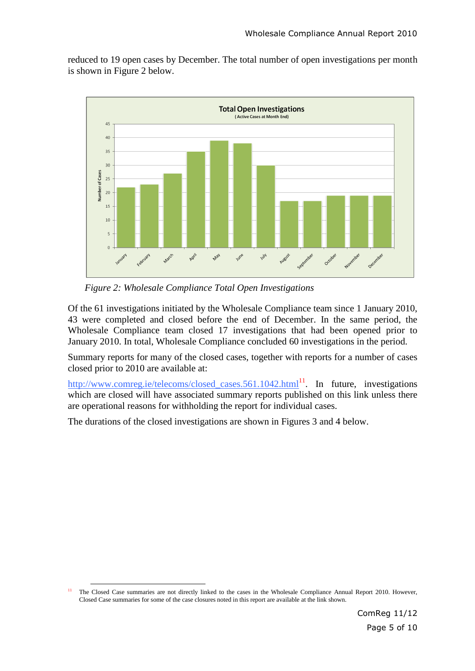reduced to 19 open cases by December. The total number of open investigations per month is shown in Figure 2 below.



*Figure 2: Wholesale Compliance Total Open Investigations*

Of the 61 investigations initiated by the Wholesale Compliance team since 1 January 2010, 43 were completed and closed before the end of December. In the same period, the Wholesale Compliance team closed 17 investigations that had been opened prior to January 2010. In total, Wholesale Compliance concluded 60 investigations in the period.

Summary reports for many of the closed cases, together with reports for a number of cases closed prior to 2010 are available at:

[http://www.comreg.ie/telecoms/closed\\_cases.561.1042.html](http://www.comreg.ie/telecoms/closed_cases.561.1042.html)<sup>11</sup>. In future, investigations which are closed will have associated summary reports published on this link unless there are operational reasons for withholding the report for individual cases.

The durations of the closed investigations are shown in Figures 3 and 4 below.

 $\overline{a}$ <sup>11</sup> The Closed Case summaries are not directly linked to the cases in the Wholesale Compliance Annual Report 2010. However, Closed Case summaries for some of the case closures noted in this report are available at the link shown.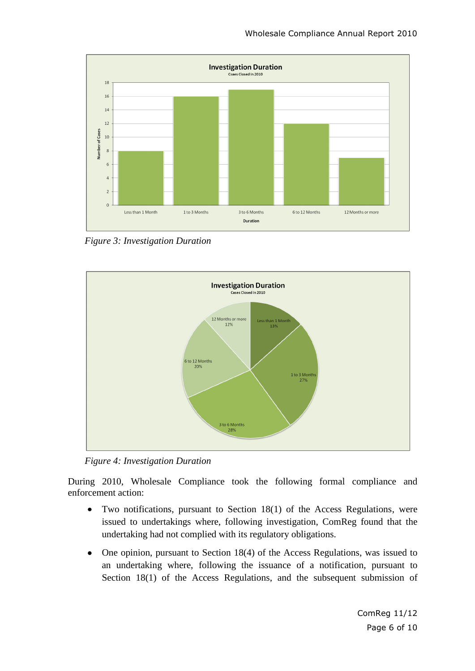

*Figure 3: Investigation Duration*



*Figure 4: Investigation Duration*

During 2010, Wholesale Compliance took the following formal compliance and enforcement action:

- Two notifications, pursuant to Section 18(1) of the Access Regulations, were  $\bullet$ issued to undertakings where, following investigation, ComReg found that the undertaking had not complied with its regulatory obligations.
- One opinion, pursuant to Section 18(4) of the Access Regulations, was issued to an undertaking where, following the issuance of a notification, pursuant to Section 18(1) of the Access Regulations, and the subsequent submission of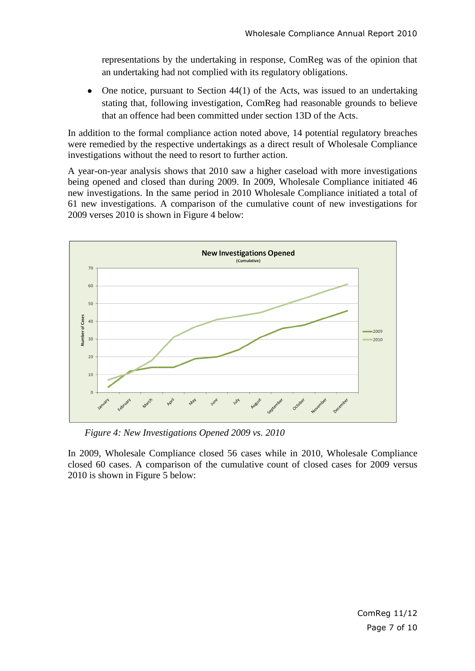representations by the undertaking in response, ComReg was of the opinion that an undertaking had not complied with its regulatory obligations.

One notice, pursuant to Section 44(1) of the Acts, was issued to an undertaking stating that, following investigation, ComReg had reasonable grounds to believe that an offence had been committed under section 13D of the Acts.

In addition to the formal compliance action noted above, 14 potential regulatory breaches were remedied by the respective undertakings as a direct result of Wholesale Compliance investigations without the need to resort to further action.

A year-on-year analysis shows that 2010 saw a higher caseload with more investigations being opened and closed than during 2009. In 2009, Wholesale Compliance initiated 46 new investigations. In the same period in 2010 Wholesale Compliance initiated a total of 61 new investigations. A comparison of the cumulative count of new investigations for 2009 verses 2010 is shown in Figure 4 below:



*Figure 4: New Investigations Opened 2009 vs. 2010*

In 2009, Wholesale Compliance closed 56 cases while in 2010, Wholesale Compliance closed 60 cases. A comparison of the cumulative count of closed cases for 2009 versus 2010 is shown in Figure 5 below: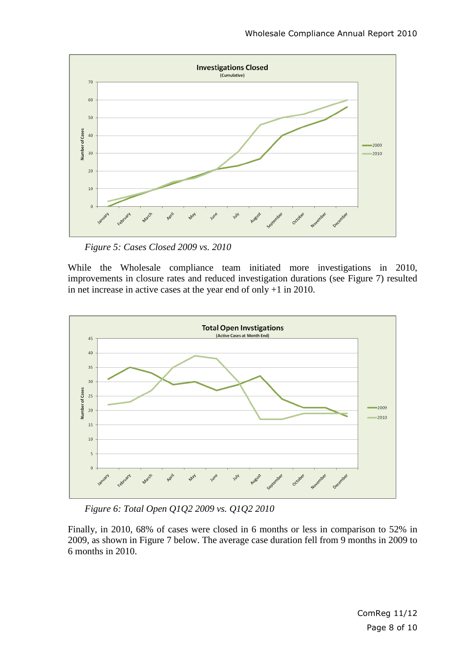

*Figure 5: Cases Closed 2009 vs. 2010*

While the Wholesale compliance team initiated more investigations in 2010, improvements in closure rates and reduced investigation durations (see Figure 7) resulted in net increase in active cases at the year end of only +1 in 2010.



*Figure 6: Total Open Q1Q2 2009 vs. Q1Q2 2010*

Finally, in 2010, 68% of cases were closed in 6 months or less in comparison to 52% in 2009, as shown in Figure 7 below. The average case duration fell from 9 months in 2009 to 6 months in 2010.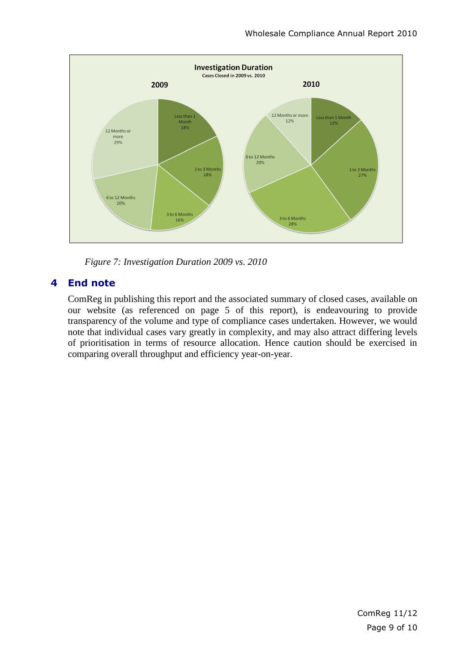

*Figure 7: Investigation Duration 2009 vs. 2010*

### **4 End note**

ComReg in publishing this report and the associated summary of closed cases, available on our website (as referenced on page 5 of this report), is endeavouring to provide transparency of the volume and type of compliance cases undertaken. However, we would note that individual cases vary greatly in complexity, and may also attract differing levels of prioritisation in terms of resource allocation. Hence caution should be exercised in comparing overall throughput and efficiency year-on-year.